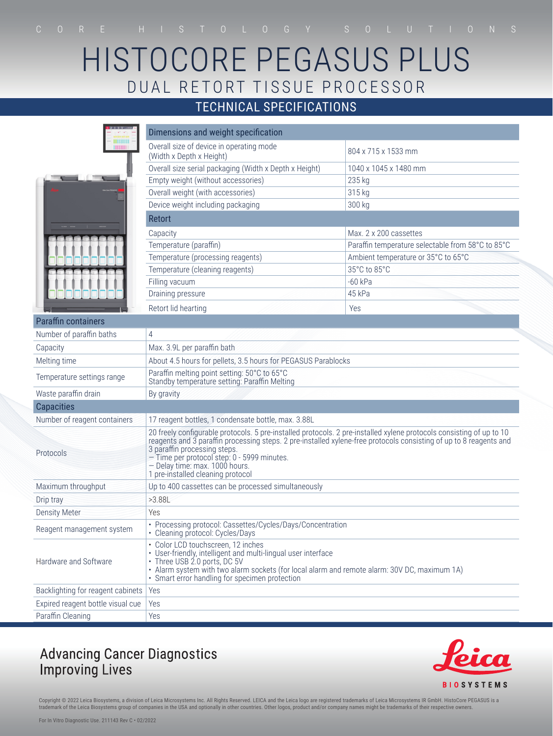# HISTOCORE PEGASUS PLUS DUAL RETORT TISSUE PROCESSOR

### TECHNICAL SPECIFICATIONS

|                                   | Dimensions and weight specification                                                                                                                                                                                                                                                                                                                                                              |                                                   |  |
|-----------------------------------|--------------------------------------------------------------------------------------------------------------------------------------------------------------------------------------------------------------------------------------------------------------------------------------------------------------------------------------------------------------------------------------------------|---------------------------------------------------|--|
| <b>HIBBIIII</b><br><b>HIIIII</b>  | Overall size of device in operating mode<br>(Width x Depth x Height)                                                                                                                                                                                                                                                                                                                             | 804 x 715 x 1533 mm                               |  |
|                                   | Overall size serial packaging (Width x Depth x Height)                                                                                                                                                                                                                                                                                                                                           | 1040 x 1045 x 1480 mm                             |  |
|                                   | Empty weight (without accessories)                                                                                                                                                                                                                                                                                                                                                               | 235 kg                                            |  |
|                                   | Overall weight (with accessories)                                                                                                                                                                                                                                                                                                                                                                | 315 kg                                            |  |
|                                   | Device weight including packaging                                                                                                                                                                                                                                                                                                                                                                | 300 kg                                            |  |
|                                   | <b>Retort</b>                                                                                                                                                                                                                                                                                                                                                                                    |                                                   |  |
|                                   | Capacity                                                                                                                                                                                                                                                                                                                                                                                         | Max, 2 x 200 cassettes                            |  |
|                                   | Temperature (paraffin)                                                                                                                                                                                                                                                                                                                                                                           | Paraffin temperature selectable from 58°C to 85°C |  |
|                                   | Temperature (processing reagents)                                                                                                                                                                                                                                                                                                                                                                | Ambient temperature or 35°C to 65°C               |  |
|                                   | Temperature (cleaning reagents)                                                                                                                                                                                                                                                                                                                                                                  | 35°C to 85°C                                      |  |
|                                   | Filling vacuum                                                                                                                                                                                                                                                                                                                                                                                   | $-60$ kPa                                         |  |
|                                   | Draining pressure                                                                                                                                                                                                                                                                                                                                                                                | 45 kPa                                            |  |
|                                   | Retort lid hearting                                                                                                                                                                                                                                                                                                                                                                              | Yes                                               |  |
| <b>Paraffin containers</b>        |                                                                                                                                                                                                                                                                                                                                                                                                  |                                                   |  |
| Number of paraffin baths          | 4                                                                                                                                                                                                                                                                                                                                                                                                |                                                   |  |
| Capacity                          | Max. 3.9L per paraffin bath                                                                                                                                                                                                                                                                                                                                                                      |                                                   |  |
| Melting time                      | About 4.5 hours for pellets, 3.5 hours for PEGASUS Parablocks                                                                                                                                                                                                                                                                                                                                    |                                                   |  |
| Temperature settings range        | Paraffin melting point setting: 50°C to 65°C<br>Standby temperature setting: Paraffin Melting                                                                                                                                                                                                                                                                                                    |                                                   |  |
| Waste paraffin drain              | By gravity                                                                                                                                                                                                                                                                                                                                                                                       |                                                   |  |
| <b>Capacities</b>                 |                                                                                                                                                                                                                                                                                                                                                                                                  |                                                   |  |
| Number of reagent containers      | 17 reagent bottles, 1 condensate bottle, max. 3.88L                                                                                                                                                                                                                                                                                                                                              |                                                   |  |
| Protocols                         | 20 freely configurable protocols. 5 pre-installed protocols. 2 pre-installed xylene protocols consisting of up to 10<br>reagents and 3 paraffin processing steps. 2 pre-installed xylene-free protocols consisting of up to 8 reagents and<br>3 paraffin processing steps.<br>- Time per protocol step: 0 - 5999 minutes.<br>- Delay time: max. 1000 hours.<br>1 pre-installed cleaning protocol |                                                   |  |
| Maximum throughput                | Up to 400 cassettes can be processed simultaneously                                                                                                                                                                                                                                                                                                                                              |                                                   |  |
| Drip tray                         | >3.88L                                                                                                                                                                                                                                                                                                                                                                                           |                                                   |  |
| <b>Density Meter</b>              | Yes                                                                                                                                                                                                                                                                                                                                                                                              |                                                   |  |
| Reagent management system         | • Processing protocol: Cassettes/Cycles/Days/Concentration<br>• Cleaning protocol: Cycles/Days                                                                                                                                                                                                                                                                                                   |                                                   |  |
| Hardware and Software             | • Color LCD touchscreen, 12 inches<br>• User-friendly, intelligent and multi-lingual user interface<br>• Three USB 2.0 ports, DC 5V<br>· Alarm system with two alarm sockets (for local alarm and remote alarm: 30V DC, maximum 1A)<br>• Smart error handling for specimen protection                                                                                                            |                                                   |  |
| Backlighting for reagent cabinets | Yes                                                                                                                                                                                                                                                                                                                                                                                              |                                                   |  |
| Expired reagent bottle visual cue | Yes                                                                                                                                                                                                                                                                                                                                                                                              |                                                   |  |
| Paraffin Cleaning                 | Yes                                                                                                                                                                                                                                                                                                                                                                                              |                                                   |  |

### **Advancing Cancer Diagnostics Improving Lives**



Copyright © 2022 Leica Biosystems, a division of Leica Microsystems Inc. All Rights Reserved. LEICA and the Leica logo are registered trademarks of Leica Microsystems IR GmbH. HistoCore PEGASUS is a<br>trademark of the Leica